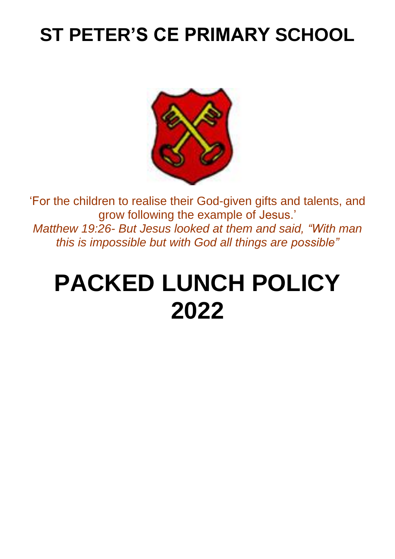# **ST PETER'S CE PRIMARY SCHOOL**



'For the children to realise their God-given gifts and talents, and grow following the example of Jesus.' *Matthew 19:26- But Jesus looked at them and said, "With man this is impossible but with God all things are possible"*

# **PACKED LUNCH POLICY 2022**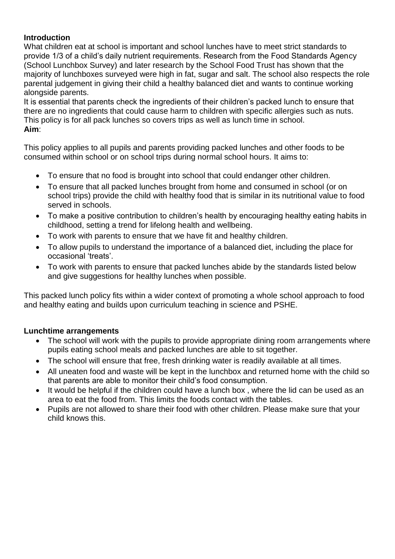# **Introduction**

What children eat at school is important and school lunches have to meet strict standards to provide 1/3 of a child's daily nutrient requirements. Research from the Food Standards Agency (School Lunchbox Survey) and later research by the School Food Trust has shown that the majority of lunchboxes surveyed were high in fat, sugar and salt. The school also respects the role parental judgement in giving their child a healthy balanced diet and wants to continue working alongside parents.

It is essential that parents check the ingredients of their children's packed lunch to ensure that there are no ingredients that could cause harm to children with specific allergies such as nuts. This policy is for all pack lunches so covers trips as well as lunch time in school. **Aim**:

This policy applies to all pupils and parents providing packed lunches and other foods to be consumed within school or on school trips during normal school hours. It aims to:

- To ensure that no food is brought into school that could endanger other children.
- To ensure that all packed lunches brought from home and consumed in school (or on school trips) provide the child with healthy food that is similar in its nutritional value to food served in schools.
- To make a positive contribution to children's health by encouraging healthy eating habits in childhood, setting a trend for lifelong health and wellbeing.
- To work with parents to ensure that we have fit and healthy children.
- To allow pupils to understand the importance of a balanced diet, including the place for occasional 'treats'.
- To work with parents to ensure that packed lunches abide by the standards listed below and give suggestions for healthy lunches when possible.

This packed lunch policy fits within a wider context of promoting a whole school approach to food and healthy eating and builds upon curriculum teaching in science and PSHE.

# **Lunchtime arrangements**

- The school will work with the pupils to provide appropriate dining room arrangements where pupils eating school meals and packed lunches are able to sit together.
- The school will ensure that free, fresh drinking water is readily available at all times.
- All uneaten food and waste will be kept in the lunchbox and returned home with the child so that parents are able to monitor their child's food consumption.
- It would be helpful if the children could have a lunch box, where the lid can be used as an area to eat the food from. This limits the foods contact with the tables.
- Pupils are not allowed to share their food with other children. Please make sure that your child knows this.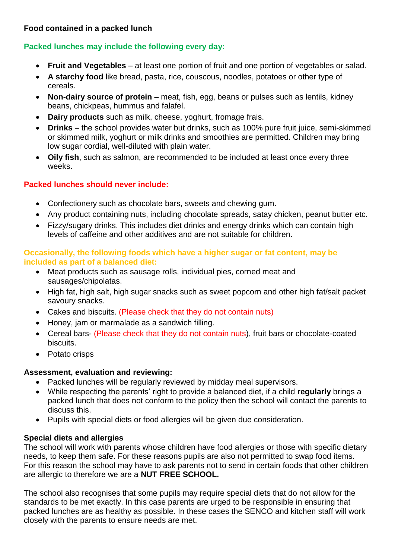## **Food contained in a packed lunch**

# **Packed lunches may include the following every day:**

- **Fruit and Vegetables**  at least one portion of fruit and one portion of vegetables or salad.
- **A starchy food** like bread, pasta, rice, couscous, noodles, potatoes or other type of cereals.
- **Non-dairy source of protein** meat, fish, egg, beans or pulses such as lentils, kidney beans, chickpeas, hummus and falafel.
- **Dairy products** such as milk, cheese, yoghurt, fromage frais.
- **Drinks**  the school provides water but drinks, such as 100% pure fruit juice, semi-skimmed or skimmed milk, yoghurt or milk drinks and smoothies are permitted. Children may bring low sugar cordial, well-diluted with plain water.
- **Oily fish**, such as salmon, are recommended to be included at least once every three weeks.

### **Packed lunches should never include:**

- Confectionery such as chocolate bars, sweets and chewing gum.
- Any product containing nuts, including chocolate spreads, satay chicken, peanut butter etc.
- Fizzy/sugary drinks. This includes diet drinks and energy drinks which can contain high levels of caffeine and other additives and are not suitable for children.

#### **Occasionally, the following foods which have a higher sugar or fat content, may be included as part of a balanced diet:**

- Meat products such as sausage rolls, individual pies, corned meat and sausages/chipolatas.
- High fat, high salt, high sugar snacks such as sweet popcorn and other high fat/salt packet savoury snacks.
- Cakes and biscuits. (Please check that they do not contain nuts)
- Honey, jam or marmalade as a sandwich filling.
- Cereal bars- (Please check that they do not contain nuts), fruit bars or chocolate-coated biscuits.
- Potato crisps

#### **Assessment, evaluation and reviewing:**

- Packed lunches will be regularly reviewed by midday meal supervisors.
- While respecting the parents' right to provide a balanced diet, if a child **regularly** brings a packed lunch that does not conform to the policy then the school will contact the parents to discuss this.
- Pupils with special diets or food allergies will be given due consideration.

#### **Special diets and allergies**

The school will work with parents whose children have food allergies or those with specific dietary needs, to keep them safe. For these reasons pupils are also not permitted to swap food items. For this reason the school may have to ask parents not to send in certain foods that other children are allergic to therefore we are a **NUT FREE SCHOOL.** 

The school also recognises that some pupils may require special diets that do not allow for the standards to be met exactly. In this case parents are urged to be responsible in ensuring that packed lunches are as healthy as possible. In these cases the SENCO and kitchen staff will work closely with the parents to ensure needs are met.